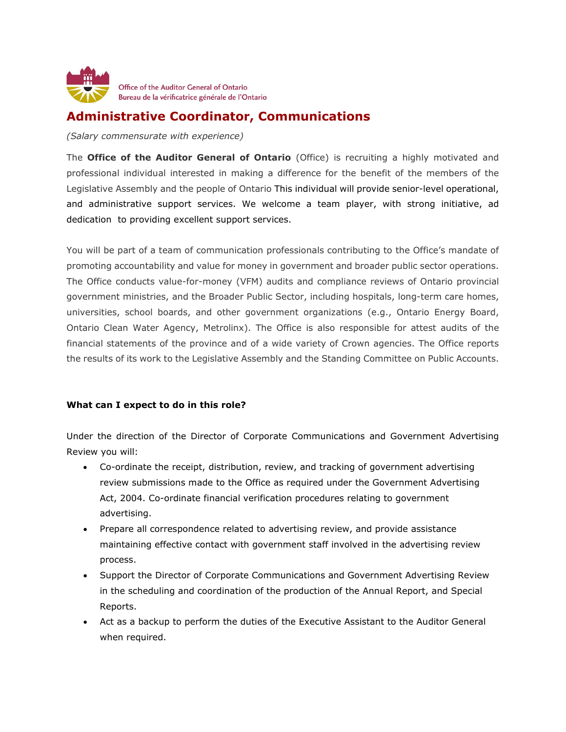

## **Administrative Coordinator, Communications**

*(Salary commensurate with experience)*

The **Office of the Auditor General of Ontario** (Office) is recruiting a highly motivated and professional individual interested in making a difference for the benefit of the members of the Legislative Assembly and the people of Ontario This individual will provide senior-level operational, and administrative support services. We welcome a team player, with strong initiative, ad dedication to providing excellent support services.

You will be part of a team of communication professionals contributing to the Office's mandate of promoting accountability and value for money in government and broader public sector operations. The Office conducts value-for-money (VFM) audits and compliance reviews of Ontario provincial government ministries, and the Broader Public Sector, including hospitals, long-term care homes, universities, school boards, and other government organizations (e.g., Ontario Energy Board, Ontario Clean Water Agency, Metrolinx). The Office is also responsible for attest audits of the financial statements of the province and of a wide variety of Crown agencies. The Office reports the results of its work to the Legislative Assembly and the Standing Committee on Public Accounts.

## **What can I expect to do in this role?**

Under the direction of the Director of Corporate Communications and Government Advertising Review you will:

- Co-ordinate the receipt, distribution, review, and tracking of government advertising review submissions made to the Office as required under the Government Advertising Act, 2004. Co-ordinate financial verification procedures relating to government advertising.
- Prepare all correspondence related to advertising review, and provide assistance maintaining effective contact with government staff involved in the advertising review process.
- Support the Director of Corporate Communications and Government Advertising Review in the scheduling and coordination of the production of the Annual Report, and Special Reports.
- Act as a backup to perform the duties of the Executive Assistant to the Auditor General when required.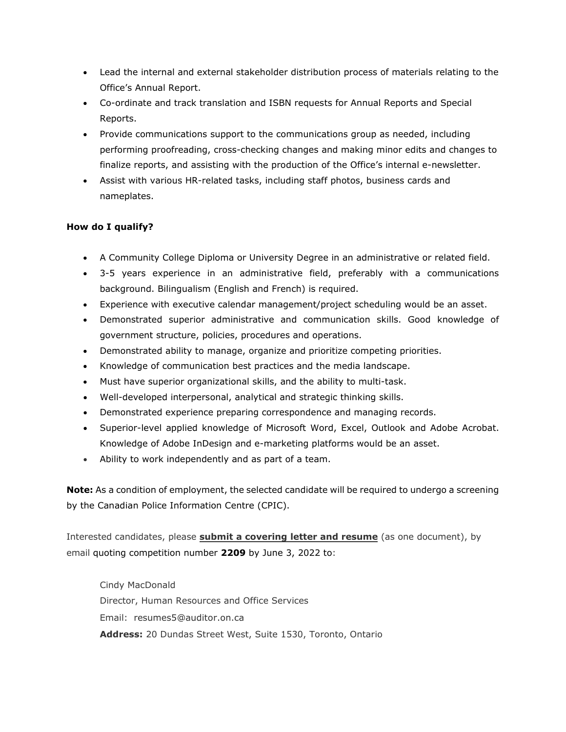- Lead the internal and external stakeholder distribution process of materials relating to the Office's Annual Report.
- Co-ordinate and track translation and ISBN requests for Annual Reports and Special Reports.
- Provide communications support to the communications group as needed, including performing proofreading, cross-checking changes and making minor edits and changes to finalize reports, and assisting with the production of the Office's internal e-newsletter.
- Assist with various HR-related tasks, including staff photos, business cards and nameplates.

## **How do I qualify?**

- A Community College Diploma or University Degree in an administrative or related field.
- 3-5 years experience in an administrative field, preferably with a communications background. Bilingualism (English and French) is required.
- Experience with executive calendar management/project scheduling would be an asset.
- Demonstrated superior administrative and communication skills. Good knowledge of government structure, policies, procedures and operations.
- Demonstrated ability to manage, organize and prioritize competing priorities.
- Knowledge of communication best practices and the media landscape.
- Must have superior organizational skills, and the ability to multi-task.
- Well-developed interpersonal, analytical and strategic thinking skills.
- Demonstrated experience preparing correspondence and managing records.
- Superior-level applied knowledge of Microsoft Word, Excel, Outlook and Adobe Acrobat. Knowledge of Adobe InDesign and e-marketing platforms would be an asset.
- Ability to work independently and as part of a team.

**Note:** As a condition of employment, the selected candidate will be required to undergo a screening by the Canadian Police Information Centre (CPIC).

Interested candidates, please **submit a covering letter and resume** (as one document), by email quoting competition number **2209** by June 3, 2022 to:

Cindy MacDonald Director, Human Resources and Office Services Email: resumes5@auditor.on.ca **Address:** 20 Dundas Street West, Suite 1530, Toronto, Ontario